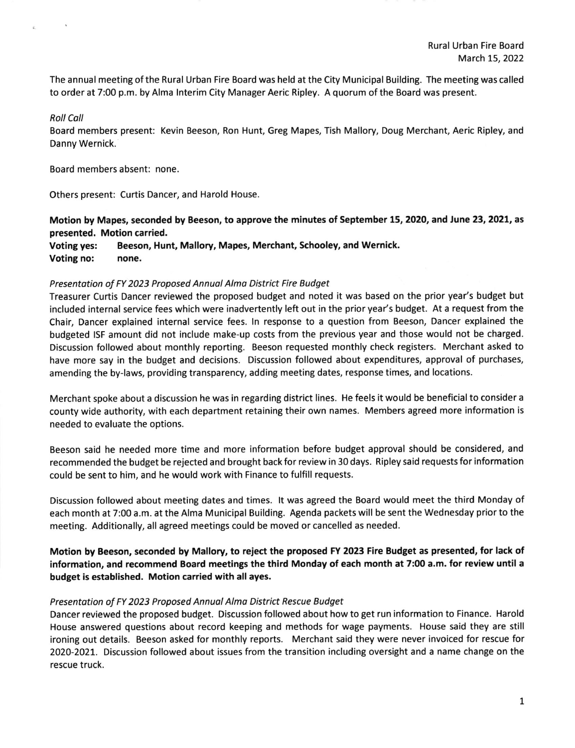Rural Urban Fire Board March 15, 2022

The annual meeting ofthe Rural Urban Fire Board was held at the City Municipal Building. The meeting was called to order at 7:00 p.m. by Alma lnterim City Manager Aeric Ripley. Aquorum ofthe Board was present.

## Roll Coll

Board members present: Kevin Beeson, Ron Hunt, Greg Mapes, Tish Mallory, Doug Merchant, Aeric Ripley, and Danny Wernick.

Board members absent: none

Others present: Curtis Dancer, and Harold House.

Motion by Mapes, seconded by Beeson, to approve the minutes of September 15, 2020, and June 23, 2021, as presented. Motion carried.

Voting yes: Beeson, Hunt, Mallory, Mapes, Merchant, Schooley, and Wernick. Voting no: none.

## Presentation of FY 2023 Proposed Annuol Almo District Fire Budget

Treasurer Curtis Dancer reviewed the proposed budget and noted it was based on the prior year's budget but included internal service fees which were inadvertently left out in the prior year's budget. At a request from the Chair, Dancer explained internal service fees. ln response to a question from Beeson, Dancer explained the budgeted ISF amount did not include make-up costs from the previous year and those would not be charged. Discussion followed about monthly reporting. Beeson requested monthly check registers. Merchant asked to have more say in the budget and decisions. Discussion followed about expenditures, approval of purchases, amending the by-laws, providing transparency, adding meeting dates, response times, and locations.

Merchant spoke about a discussion he was in regarding district lines. He feels it would be beneficial to consider <sup>a</sup> county wide authority, with each department retaining their own names. Members agreed more information is needed to evaluate the options.

Beeson said he needed more time and more information before budget approval should be considered, and recommended the budget be rejected and brought back for review in 30 days. Ripley said requests for information could be sent to him, and he would work with Finance to fulfill requests.

Discussion followed about meeting dates and times. lt was agreed the Board would meet the third Monday of each month at 7:00 a.m. at the Alma Municipal Building. Agenda packets will be sent the Wednesday prior to the meeting. Additionally, all agreed meetings could be moved or cancelled as needed.

Motion by Beeson, seconded by Mallory to reject the proposed FY 2023 Fire Budget as presented, for lack of information, and recommend Board meetings the third Monday of each month at 7:00 a.m. for review until a budget is established. Motion carried with all ayes.

## Presentation of FY 2023 Proposed Annual Alma District Rescue Budget

Dancer reviewed the proposed budget. Discussion followed about howtoget run information to Finance. Harold House answered questions about record keeping and methods for wage payments. House said they are still ironing out details. Beeson asked for monthly reports. Merchant said they were never invoiced for rescue for 2O2O-202I- Discussion followed about issues from the transition including oversight and a name change on the rescue truck.